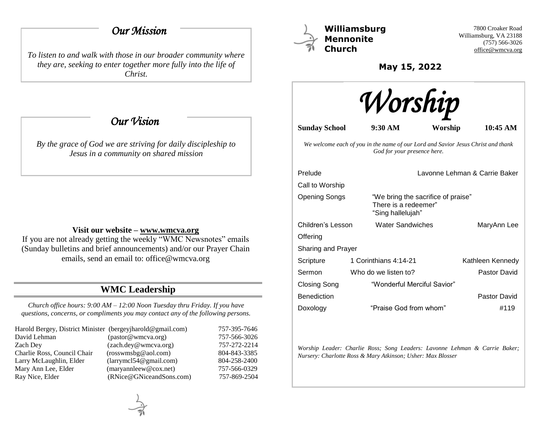# *Our Mission*

*To listen to and walk with those in our broader community where they are, seeking to enter together more fully into the life of Christ.*

 *Our Vision* 

*By the grace of God we are striving for daily discipleship to Jesus in a community on shared mission*

### **Visit our website – [www.wmcva.org](http://www.wmcva.org/)**

If you are not already getting the weekly "WMC Newsnotes" emails (Sunday bulletins and brief announcements) and/or our Prayer Chain emails, send an email to: office@wmcva.org

# **WMC Leadership**

*Church office hours: 9:00 AM – 12:00 Noon Tuesday thru Friday. If you have questions, concerns, or compliments you may contact any of the following persons.*

| Harold Bergey, District Minister (bergeyjharold@gmail.com) |                                                         | 757-395-7646 |
|------------------------------------------------------------|---------------------------------------------------------|--------------|
| David Lehman                                               | (pastor@wmcva.org)                                      | 757-566-3026 |
| Zach Dev                                                   | (zach.dey@wmcva.org)                                    | 757-272-2214 |
| Charlie Ross, Council Chair                                | (rosswmsbg@aol.com)                                     | 804-843-3385 |
| Larry McLaughlin, Elder                                    | (larymel 54@gmail.com)                                  | 804-258-2400 |
| Mary Ann Lee, Elder                                        | $(\text{maryannlee} \omega \mathcal{Q} \text{cox.net})$ | 757-566-0329 |
| Ray Nice, Elder                                            | (RNice@GNiceandSons.com)                                | 757-869-2504 |



**Williamsburg Mennonite Church**

7800 Croaker Road Williamsburg, VA 23188 (757) 566-3026 [office@wmcva.org](mailto:office@wmcva.org)

**May 15, 2022**



**Sunday School 9:30 AM Worship 10:45 AM**

*We welcome each of you in the name of our Lord and Savior Jesus Christ and thank God for your presence here.*

| Prelude             |                                                                                 | Lavonne Lehman & Carrie Baker |  |
|---------------------|---------------------------------------------------------------------------------|-------------------------------|--|
| Call to Worship     |                                                                                 |                               |  |
| Opening Songs       | "We bring the sacrifice of praise"<br>There is a redeemer"<br>"Sing hallelujah" |                               |  |
| Children's Lesson   | <b>Water Sandwiches</b>                                                         | MaryAnn Lee                   |  |
| Offering            |                                                                                 |                               |  |
| Sharing and Prayer  |                                                                                 |                               |  |
| Scripture           | 1 Corinthians 4:14-21                                                           | Kathleen Kennedy              |  |
| Sermon              | Who do we listen to?                                                            | Pastor David                  |  |
| <b>Closing Song</b> | "Wonderful Merciful Savior"                                                     |                               |  |
| <b>Benediction</b>  |                                                                                 | Pastor David                  |  |
| Doxology            | "Praise God from whom"                                                          | #119                          |  |

*Worship Leader: Charlie Ross; Song Leaders: Lavonne Lehman & Carrie Baker; Nursery: Charlotte Ross & Mary Atkinson; Usher: Max Blosser*